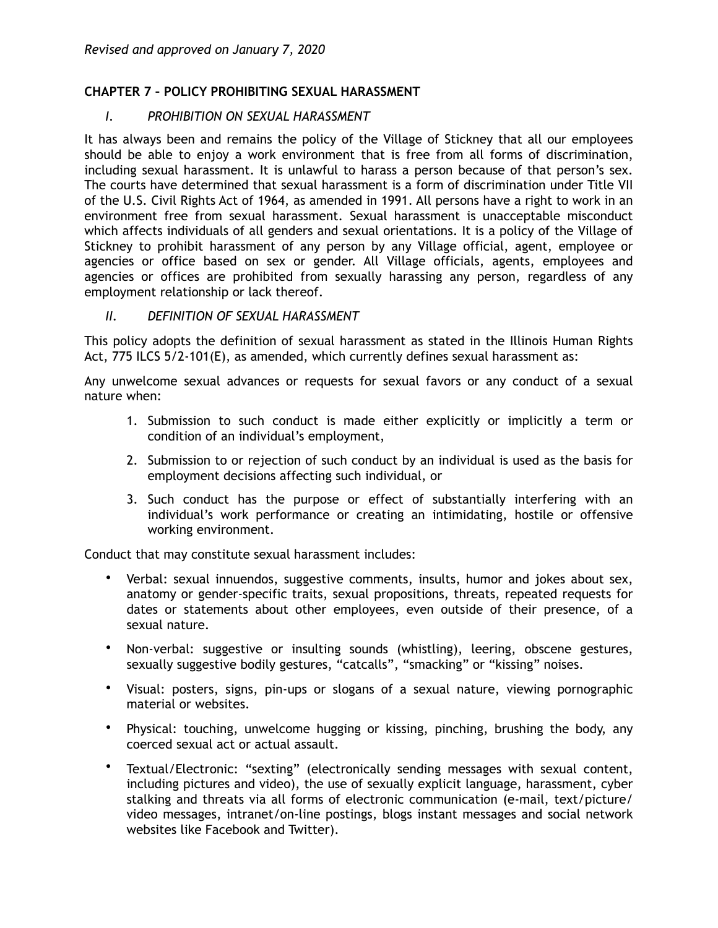## **CHAPTER 7 – POLICY PROHIBITING SEXUAL HARASSMENT**

### *I. PROHIBITION ON SEXUAL HARASSMENT*

It has always been and remains the policy of the Village of Stickney that all our employees should be able to enjoy a work environment that is free from all forms of discrimination, including sexual harassment. It is unlawful to harass a person because of that person's sex. The courts have determined that sexual harassment is a form of discrimination under Title VII of the U.S. Civil Rights Act of 1964, as amended in 1991. All persons have a right to work in an environment free from sexual harassment. Sexual harassment is unacceptable misconduct which affects individuals of all genders and sexual orientations. It is a policy of the Village of Stickney to prohibit harassment of any person by any Village official, agent, employee or agencies or office based on sex or gender. All Village officials, agents, employees and agencies or offices are prohibited from sexually harassing any person, regardless of any employment relationship or lack thereof.

#### *II. DEFINITION OF SEXUAL HARASSMENT*

This policy adopts the definition of sexual harassment as stated in the Illinois Human Rights Act, 775 ILCS 5/2-101(E), as amended, which currently defines sexual harassment as:

Any unwelcome sexual advances or requests for sexual favors or any conduct of a sexual nature when:

- 1. Submission to such conduct is made either explicitly or implicitly a term or condition of an individual's employment,
- 2. Submission to or rejection of such conduct by an individual is used as the basis for employment decisions affecting such individual, or
- 3. Such conduct has the purpose or effect of substantially interfering with an individual's work performance or creating an intimidating, hostile or offensive working environment.

Conduct that may constitute sexual harassment includes:

- Verbal: sexual innuendos, suggestive comments, insults, humor and jokes about sex, anatomy or gender-specific traits, sexual propositions, threats, repeated requests for dates or statements about other employees, even outside of their presence, of a sexual nature.
- Non-verbal: suggestive or insulting sounds (whistling), leering, obscene gestures, sexually suggestive bodily gestures, "catcalls", "smacking" or "kissing" noises.
- Visual: posters, signs, pin-ups or slogans of a sexual nature, viewing pornographic material or websites.
- Physical: touching, unwelcome hugging or kissing, pinching, brushing the body, any coerced sexual act or actual assault.
- Textual/Electronic: "sexting" (electronically sending messages with sexual content, including pictures and video), the use of sexually explicit language, harassment, cyber stalking and threats via all forms of electronic communication (e-mail, text/picture/ video messages, intranet/on-line postings, blogs instant messages and social network websites like Facebook and Twitter).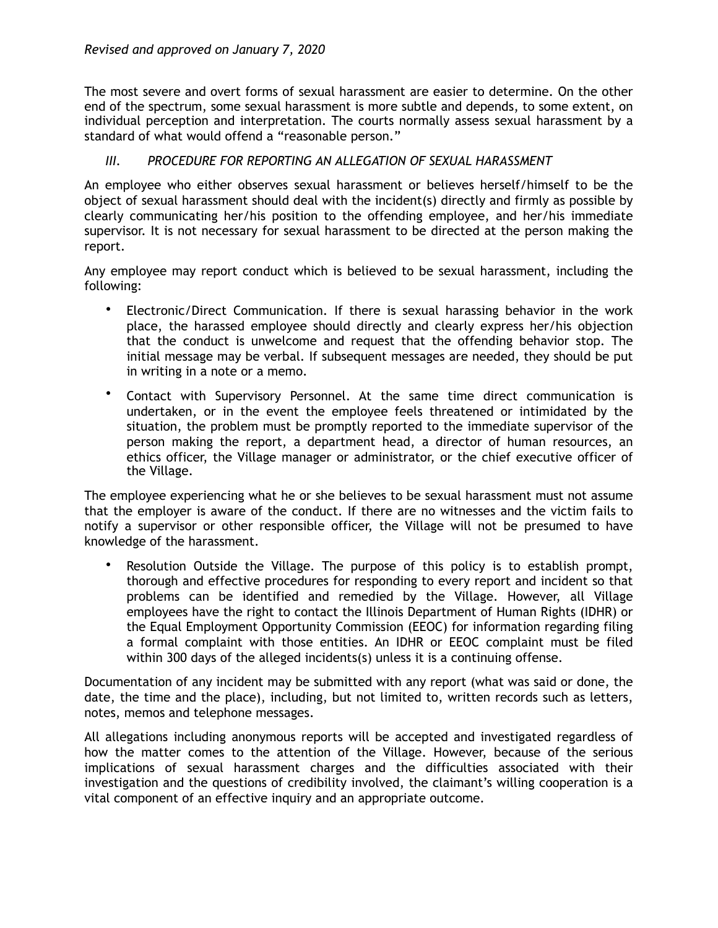The most severe and overt forms of sexual harassment are easier to determine. On the other end of the spectrum, some sexual harassment is more subtle and depends, to some extent, on individual perception and interpretation. The courts normally assess sexual harassment by a standard of what would offend a "reasonable person."

# **III. PROCEDURE FOR REPORTING AN ALLEGATION OF SEXUAL HARASSMENT**

An employee who either observes sexual harassment or believes herself/himself to be the object of sexual harassment should deal with the incident(s) directly and firmly as possible by clearly communicating her/his position to the offending employee, and her/his immediate supervisor. It is not necessary for sexual harassment to be directed at the person making the report.

Any employee may report conduct which is believed to be sexual harassment, including the following:

- Electronic/Direct Communication. If there is sexual harassing behavior in the work place, the harassed employee should directly and clearly express her/his objection that the conduct is unwelcome and request that the offending behavior stop. The initial message may be verbal. If subsequent messages are needed, they should be put in writing in a note or a memo.
- Contact with Supervisory Personnel. At the same time direct communication is undertaken, or in the event the employee feels threatened or intimidated by the situation, the problem must be promptly reported to the immediate supervisor of the person making the report, a department head, a director of human resources, an ethics officer, the Village manager or administrator, or the chief executive officer of the Village.

The employee experiencing what he or she believes to be sexual harassment must not assume that the employer is aware of the conduct. If there are no witnesses and the victim fails to notify a supervisor or other responsible officer, the Village will not be presumed to have knowledge of the harassment.

• Resolution Outside the Village. The purpose of this policy is to establish prompt, thorough and effective procedures for responding to every report and incident so that problems can be identified and remedied by the Village. However, all Village employees have the right to contact the Illinois Department of Human Rights (IDHR) or the Equal Employment Opportunity Commission (EEOC) for information regarding filing a formal complaint with those entities. An IDHR or EEOC complaint must be filed within 300 days of the alleged incidents(s) unless it is a continuing offense.

Documentation of any incident may be submitted with any report (what was said or done, the date, the time and the place), including, but not limited to, written records such as letters, notes, memos and telephone messages.

All allegations including anonymous reports will be accepted and investigated regardless of how the matter comes to the attention of the Village. However, because of the serious implications of sexual harassment charges and the difficulties associated with their investigation and the questions of credibility involved, the claimant's willing cooperation is a vital component of an effective inquiry and an appropriate outcome.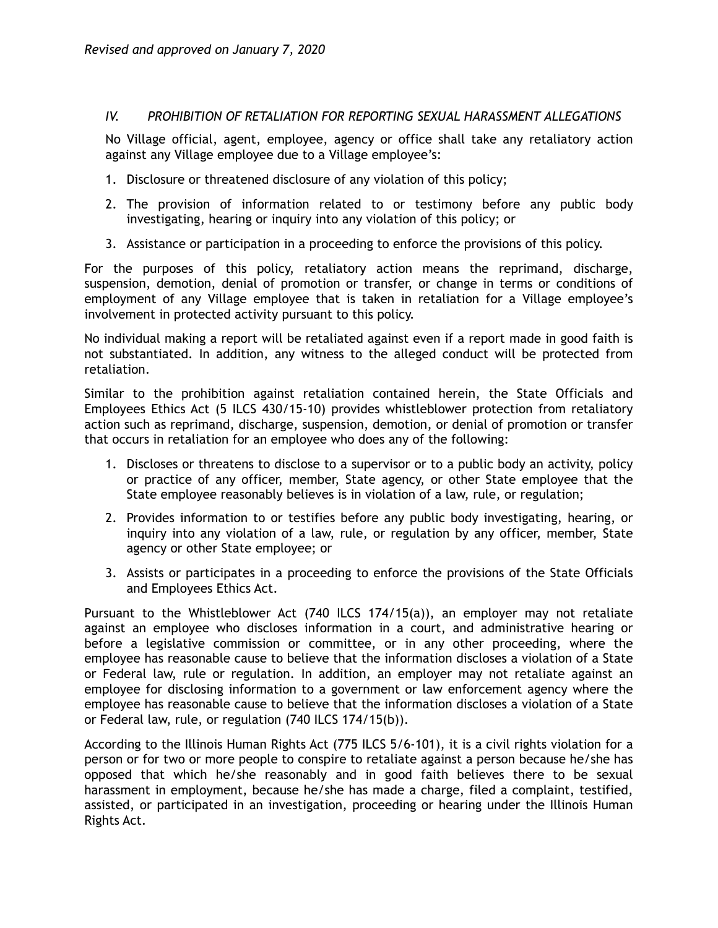### *IV. PROHIBITION OF RETALIATION FOR REPORTING SEXUAL HARASSMENT ALLEGATIONS*

No Village official, agent, employee, agency or office shall take any retaliatory action against any Village employee due to a Village employee's:

- 1. Disclosure or threatened disclosure of any violation of this policy;
- 2. The provision of information related to or testimony before any public body investigating, hearing or inquiry into any violation of this policy; or
- 3. Assistance or participation in a proceeding to enforce the provisions of this policy.

For the purposes of this policy, retaliatory action means the reprimand, discharge, suspension, demotion, denial of promotion or transfer, or change in terms or conditions of employment of any Village employee that is taken in retaliation for a Village employee's involvement in protected activity pursuant to this policy.

No individual making a report will be retaliated against even if a report made in good faith is not substantiated. In addition, any witness to the alleged conduct will be protected from retaliation.

Similar to the prohibition against retaliation contained herein, the State Officials and Employees Ethics Act (5 ILCS 430/15-10) provides whistleblower protection from retaliatory action such as reprimand, discharge, suspension, demotion, or denial of promotion or transfer that occurs in retaliation for an employee who does any of the following:

- 1. Discloses or threatens to disclose to a supervisor or to a public body an activity, policy or practice of any officer, member, State agency, or other State employee that the State employee reasonably believes is in violation of a law, rule, or regulation;
- 2. Provides information to or testifies before any public body investigating, hearing, or inquiry into any violation of a law, rule, or regulation by any officer, member, State agency or other State employee; or
- 3. Assists or participates in a proceeding to enforce the provisions of the State Officials and Employees Ethics Act.

Pursuant to the Whistleblower Act (740 ILCS 174/15(a)), an employer may not retaliate against an employee who discloses information in a court, and administrative hearing or before a legislative commission or committee, or in any other proceeding, where the employee has reasonable cause to believe that the information discloses a violation of a State or Federal law, rule or regulation. In addition, an employer may not retaliate against an employee for disclosing information to a government or law enforcement agency where the employee has reasonable cause to believe that the information discloses a violation of a State or Federal law, rule, or regulation (740 ILCS 174/15(b)).

According to the Illinois Human Rights Act (775 ILCS 5/6-101), it is a civil rights violation for a person or for two or more people to conspire to retaliate against a person because he/she has opposed that which he/she reasonably and in good faith believes there to be sexual harassment in employment, because he/she has made a charge, filed a complaint, testified, assisted, or participated in an investigation, proceeding or hearing under the Illinois Human Rights Act.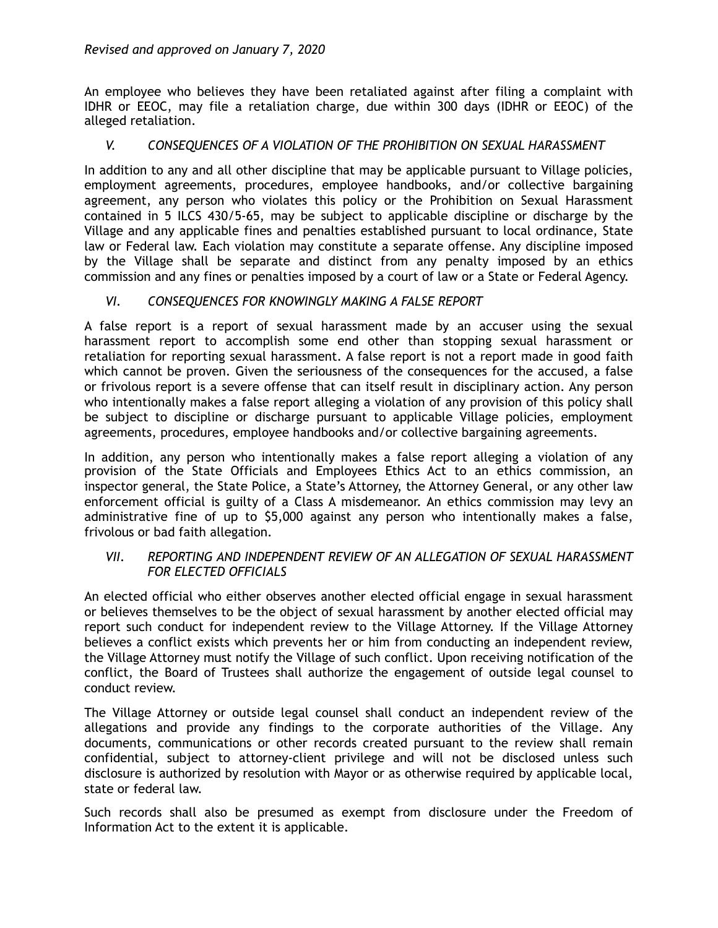An employee who believes they have been retaliated against after filing a complaint with IDHR or EEOC, may file a retaliation charge, due within 300 days (IDHR or EEOC) of the alleged retaliation.

## *V. CONSEQUENCES OF A VIOLATION OF THE PROHIBITION ON SEXUAL HARASSMENT*

In addition to any and all other discipline that may be applicable pursuant to Village policies, employment agreements, procedures, employee handbooks, and/or collective bargaining agreement, any person who violates this policy or the Prohibition on Sexual Harassment contained in 5 ILCS 430/5-65, may be subject to applicable discipline or discharge by the Village and any applicable fines and penalties established pursuant to local ordinance, State law or Federal law. Each violation may constitute a separate offense. Any discipline imposed by the Village shall be separate and distinct from any penalty imposed by an ethics commission and any fines or penalties imposed by a court of law or a State or Federal Agency.

## *VI. CONSEQUENCES FOR KNOWINGLY MAKING A FALSE REPORT*

A false report is a report of sexual harassment made by an accuser using the sexual harassment report to accomplish some end other than stopping sexual harassment or retaliation for reporting sexual harassment. A false report is not a report made in good faith which cannot be proven. Given the seriousness of the consequences for the accused, a false or frivolous report is a severe offense that can itself result in disciplinary action. Any person who intentionally makes a false report alleging a violation of any provision of this policy shall be subject to discipline or discharge pursuant to applicable Village policies, employment agreements, procedures, employee handbooks and/or collective bargaining agreements.

In addition, any person who intentionally makes a false report alleging a violation of any provision of the State Officials and Employees Ethics Act to an ethics commission, an inspector general, the State Police, a State's Attorney, the Attorney General, or any other law enforcement official is guilty of a Class A misdemeanor. An ethics commission may levy an administrative fine of up to \$5,000 against any person who intentionally makes a false, frivolous or bad faith allegation.

### *VII. REPORTING AND INDEPENDENT REVIEW OF AN ALLEGATION OF SEXUAL HARASSMENT FOR ELECTED OFFICIALS*

An elected official who either observes another elected official engage in sexual harassment or believes themselves to be the object of sexual harassment by another elected official may report such conduct for independent review to the Village Attorney. If the Village Attorney believes a conflict exists which prevents her or him from conducting an independent review, the Village Attorney must notify the Village of such conflict. Upon receiving notification of the conflict, the Board of Trustees shall authorize the engagement of outside legal counsel to conduct review.

The Village Attorney or outside legal counsel shall conduct an independent review of the allegations and provide any findings to the corporate authorities of the Village. Any documents, communications or other records created pursuant to the review shall remain confidential, subject to attorney-client privilege and will not be disclosed unless such disclosure is authorized by resolution with Mayor or as otherwise required by applicable local, state or federal law.

Such records shall also be presumed as exempt from disclosure under the Freedom of Information Act to the extent it is applicable.